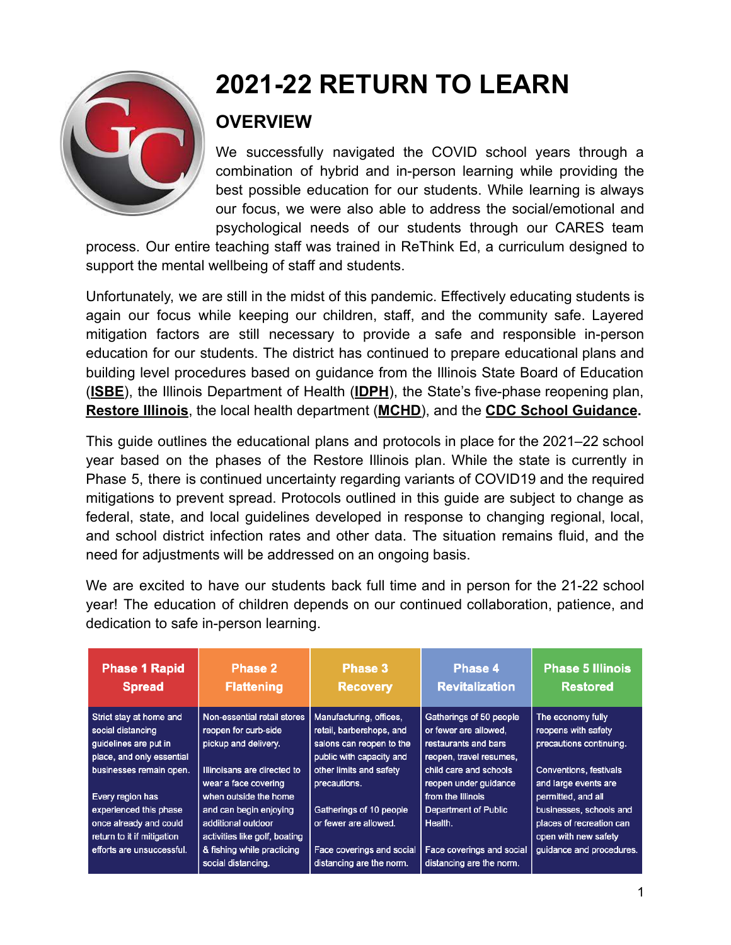

# **2021-22 RETURN TO LEARN**

## **OVERVIEW**

We successfully navigated the COVID school years through a combination of hybrid and in-person learning while providing the best possible education for our students. While learning is always our focus, we were also able to address the social/emotional and psychological needs of our students through our CARES team

process. Our entire teaching staff was trained in ReThink Ed, a curriculum designed to support the mental wellbeing of staff and students.

Unfortunately, we are still in the midst of this pandemic. Effectively educating students is again our focus while keeping our children, staff, and the community safe. Layered mitigation factors are still necessary to provide a safe and responsible in-person education for our students. The district has continued to prepare educational plans and building level procedures based on guidance from the Illinois State Board of Education (**ISBE**), the Illinois Department of Health (**IDPH**), the State's five-phase reopening plan, **Restore Illinois**, the local health department (**MCHD**), and the **CDC School Guidance.**

This guide outlines the educational plans and protocols in place for the 2021–22 school year based on the phases of the Restore Illinois plan. While the state is currently in Phase 5, there is continued uncertainty regarding variants of COVID19 and the required mitigations to prevent spread. Protocols outlined in this guide are subject to change as federal, state, and local guidelines developed in response to changing regional, local, and school district infection rates and other data. The situation remains fluid, and the need for adjustments will be addressed on an ongoing basis.

We are excited to have our students back full time and in person for the 21-22 school year! The education of children depends on our continued collaboration, patience, and dedication to safe in-person learning.

| <b>Phase 1 Rapid</b><br><b>Spread</b> | <b>Phase 2</b><br><b>Flattening</b> | Phase 3<br><b>Recovery</b> | Phase 4<br><b>Revitalization</b> | <b>Phase 5 Illinois</b><br><b>Restored</b> |
|---------------------------------------|-------------------------------------|----------------------------|----------------------------------|--------------------------------------------|
| Strict stay at home and               | Non-essential retail stores         | Manufacturing, offices,    | Gatherings of 50 people          | The economy fully                          |
| social distancing                     | reopen for curb-side                | retail, barbershops, and   | or fewer are allowed.            | reopens with safety                        |
| guidelines are put in                 | pickup and delivery.                | salons can reopen to the   | restaurants and bars             | precautions continuing.                    |
| place, and only essential             |                                     | public with capacity and   | reopen, travel resumes,          |                                            |
| businesses remain open.               | Illinoisans are directed to         | other limits and safety    | child care and schools           | <b>Conventions, festivals</b>              |
|                                       | wear a face covering                | precautions.               | reopen under guidance            | and large events are                       |
| Every region has                      | when outside the home               |                            | from the Illinois                | permitted, and all                         |
| experienced this phase                | and can begin enjoying              | Gatherings of 10 people    | <b>Department of Public</b>      | businesses, schools and                    |
| once already and could                | additional outdoor                  | or fewer are allowed.      | Health.                          | places of recreation can                   |
| return to it if mitigation            | activities like golf, boating       |                            |                                  | open with new safety                       |
| efforts are unsuccessful.             | & fishing while practicing          | Face coverings and social  | Face coverings and social        | guidance and procedures.                   |
|                                       | social distancing.                  | distancing are the norm.   | distancing are the norm.         |                                            |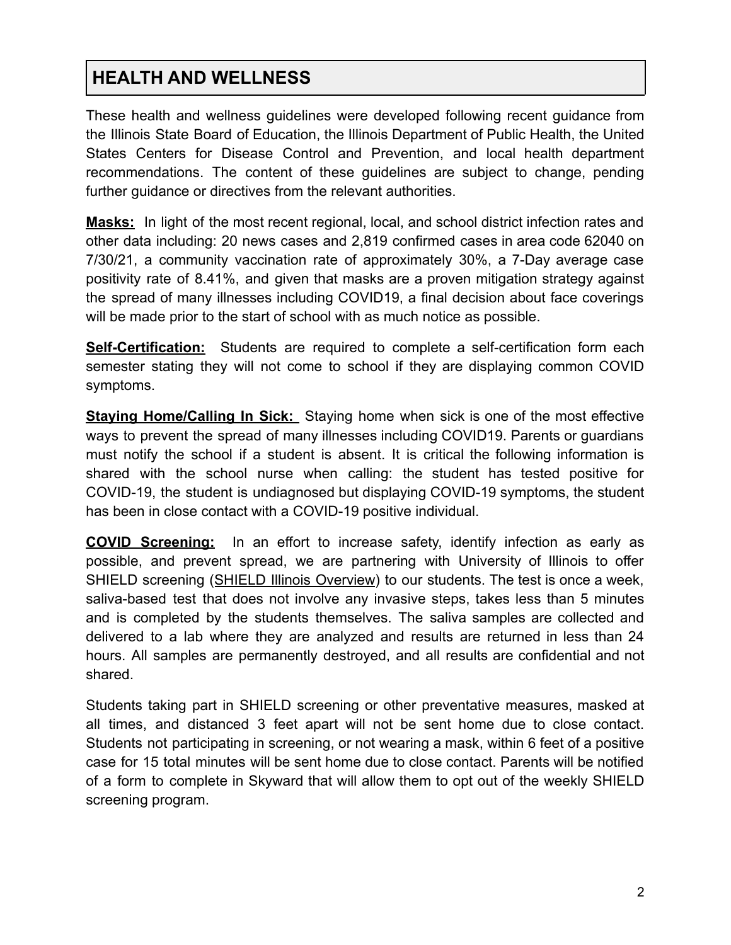## **HEALTH AND WELLNESS**

These health and wellness guidelines were developed following recent guidance from the Illinois State Board of Education, the Illinois Department of Public Health, the United States Centers for Disease Control and Prevention, and local health department recommendations. The content of these guidelines are subject to change, pending further guidance or directives from the relevant authorities.

**Masks:** In light of the most recent regional, local, and school district infection rates and other data including: 20 news cases and 2,819 confirmed cases in area code 62040 on 7/30/21, a community vaccination rate of approximately 30%, a 7-Day average case positivity rate of 8.41%, and given that masks are a proven mitigation strategy against the spread of many illnesses including COVID19, a final decision about face coverings will be made prior to the start of school with as much notice as possible.

**Self-Certification:** Students are required to complete a self-certification form each semester stating they will not come to school if they are displaying common COVID symptoms.

**Staying Home/Calling In Sick:** Staying home when sick is one of the most effective ways to prevent the spread of many illnesses including COVID19. Parents or guardians must notify the school if a student is absent. It is critical the following information is shared with the school nurse when calling: the student has tested positive for COVID-19, the student is undiagnosed but displaying COVID-19 symptoms, the student has been in close contact with a COVID-19 positive individual.

**COVID Screening:** In an effort to increase safety, identify infection as early as possible, and prevent spread, we are partnering with University of Illinois to offer SHIELD screening (SHIELD Illinois Overview) to our students. The test is once a week, saliva-based test that does not involve any invasive steps, takes less than 5 minutes and is completed by the students themselves. The saliva samples are collected and delivered to a lab where they are analyzed and results are returned in less than 24 hours. All samples are permanently destroyed, and all results are confidential and not shared.

Students taking part in SHIELD screening or other preventative measures, masked at all times, and distanced 3 feet apart will not be sent home due to close contact. Students not participating in screening, or not wearing a mask, within 6 feet of a positive case for 15 total minutes will be sent home due to close contact. Parents will be notified of a form to complete in Skyward that will allow them to opt out of the weekly SHIELD screening program.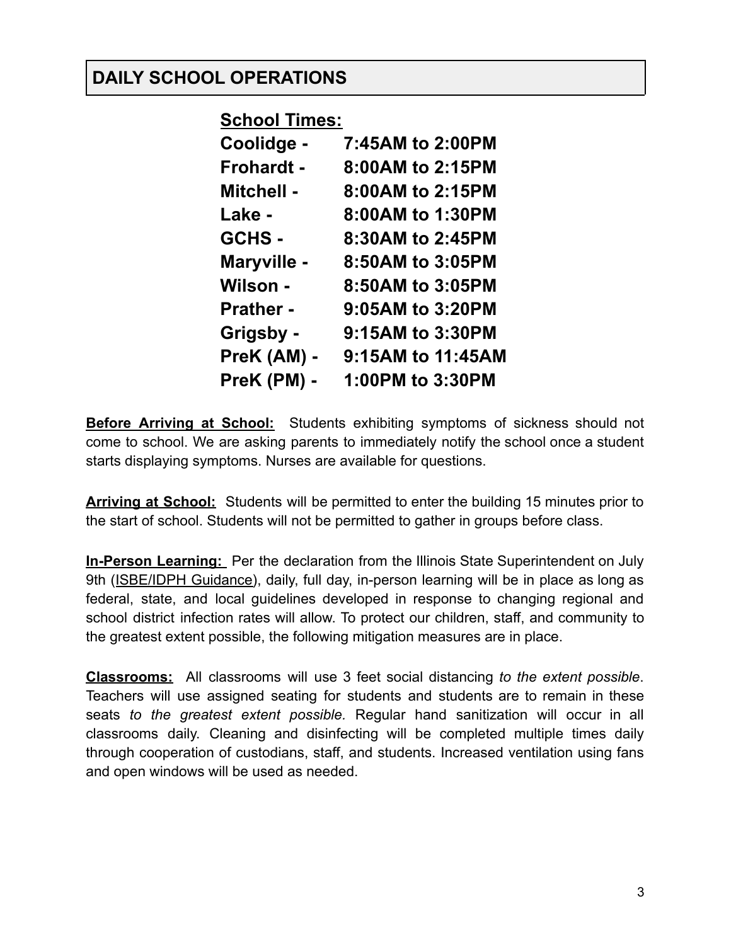#### **DAILY SCHOOL OPERATIONS**

**School Times:**

| 7:45AM to 2:00PM  |
|-------------------|
| 8:00AM to 2:15PM  |
| 8:00AM to 2:15PM  |
| 8:00AM to 1:30PM  |
| 8:30AM to 2:45PM  |
| 8:50AM to 3:05PM  |
| 8:50AM to 3:05PM  |
| 9:05AM to 3:20PM  |
| 9:15AM to 3:30PM  |
| 9:15AM to 11:45AM |
| 1:00PM to 3:30PM  |
|                   |

**Before Arriving at School:** Students exhibiting symptoms of sickness should not come to school. We are asking parents to immediately notify the school once a student starts displaying symptoms. Nurses are available for questions.

**Arriving at School:** Students will be permitted to enter the building 15 minutes prior to the start of school. Students will not be permitted to gather in groups before class.

**In-Person Learning:** Per the declaration from the Illinois State Superintendent on July 9th (ISBE/IDPH Guidance), daily, full day, in-person learning will be in place as long as federal, state, and local guidelines developed in response to changing regional and school district infection rates will allow. To protect our children, staff, and community to the greatest extent possible, the following mitigation measures are in place.

**Classrooms:** All classrooms will use 3 feet social distancing *to the extent possible*. Teachers will use assigned seating for students and students are to remain in these seats *to the greatest extent possible.* Regular hand sanitization will occur in all classrooms daily. Cleaning and disinfecting will be completed multiple times daily through cooperation of custodians, staff, and students. Increased ventilation using fans and open windows will be used as needed.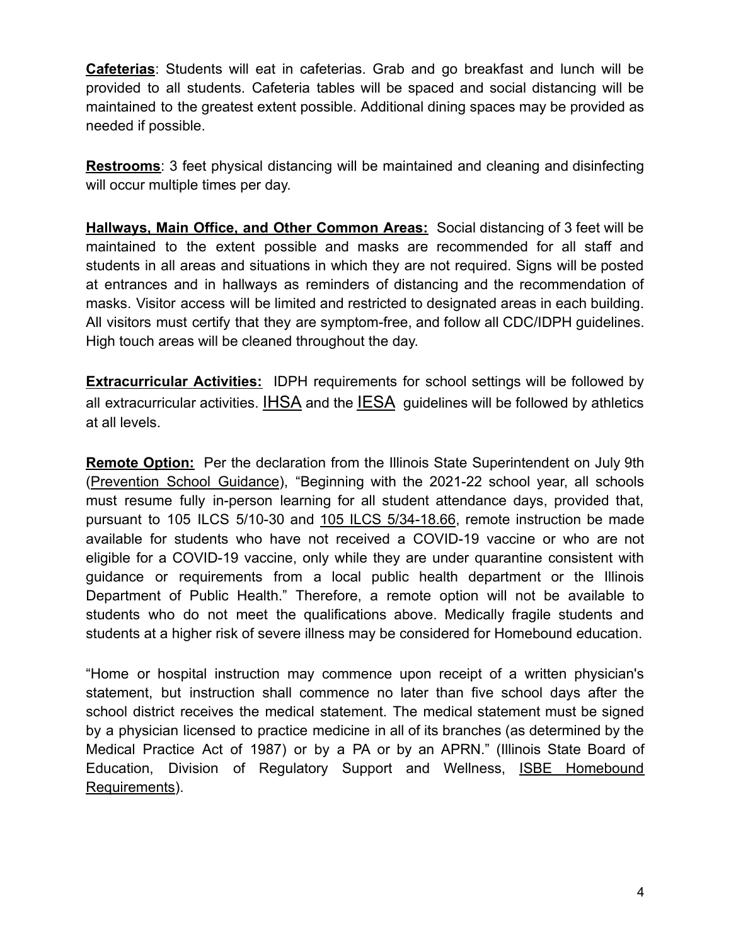**Cafeterias**: Students will eat in cafeterias. Grab and go breakfast and lunch will be provided to all students. Cafeteria tables will be spaced and social distancing will be maintained to the greatest extent possible. Additional dining spaces may be provided as needed if possible.

**Restrooms**: 3 feet physical distancing will be maintained and cleaning and disinfecting will occur multiple times per day.

**Hallways, Main Office, and Other Common Areas:** Social distancing of 3 feet will be maintained to the extent possible and masks are recommended for all staff and students in all areas and situations in which they are not required. Signs will be posted at entrances and in hallways as reminders of distancing and the recommendation of masks. Visitor access will be limited and restricted to designated areas in each building. All visitors must certify that they are symptom-free, and follow all CDC/IDPH guidelines. High touch areas will be cleaned throughout the day.

**Extracurricular Activities:** IDPH requirements for school settings will be followed by all extracurricular activities. IHSA and the IESA guidelines will be followed by athletics at all levels.

**Remote Option:** Per the declaration from the Illinois State Superintendent on July 9th (Prevention School Guidance), "Beginning with the 2021-22 school year, all schools must resume fully in-person learning for all student attendance days, provided that, pursuant to 105 ILCS 5/10-30 and 105 ILCS 5/34-18.66, remote instruction be made available for students who have not received a COVID-19 vaccine or who are not eligible for a COVID-19 vaccine, only while they are under quarantine consistent with guidance or requirements from a local public health department or the Illinois Department of Public Health." Therefore, a remote option will not be available to students who do not meet the qualifications above. Medically fragile students and students at a higher risk of severe illness may be considered for Homebound education.

"Home or hospital instruction may commence upon receipt of a written physician's statement, but instruction shall commence no later than five school days after the school district receives the medical statement. The medical statement must be signed by a physician licensed to practice medicine in all of its branches (as determined by the Medical Practice Act of 1987) or by a PA or by an APRN." (Illinois State Board of Education, Division of Regulatory Support and Wellness, ISBE Homebound Requirements).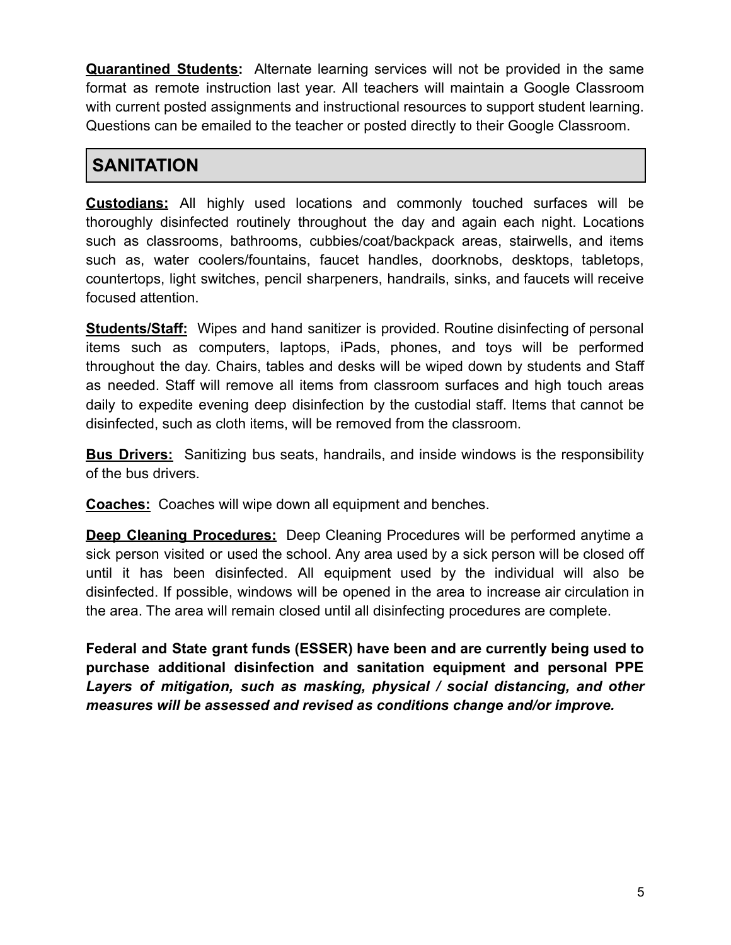**Quarantined Students:** Alternate learning services will not be provided in the same format as remote instruction last year. All teachers will maintain a Google Classroom with current posted assignments and instructional resources to support student learning. Questions can be emailed to the teacher or posted directly to their Google Classroom.

#### **SANITATION**

**Custodians:** All highly used locations and commonly touched surfaces will be thoroughly disinfected routinely throughout the day and again each night. Locations such as classrooms, bathrooms, cubbies/coat/backpack areas, stairwells, and items such as, water coolers/fountains, faucet handles, doorknobs, desktops, tabletops, countertops, light switches, pencil sharpeners, handrails, sinks, and faucets will receive focused attention.

**Students/Staff:** Wipes and hand sanitizer is provided. Routine disinfecting of personal items such as computers, laptops, iPads, phones, and toys will be performed throughout the day. Chairs, tables and desks will be wiped down by students and Staff as needed. Staff will remove all items from classroom surfaces and high touch areas daily to expedite evening deep disinfection by the custodial staff. Items that cannot be disinfected, such as cloth items, will be removed from the classroom.

**Bus Drivers:** Sanitizing bus seats, handrails, and inside windows is the responsibility of the bus drivers.

**Coaches:** Coaches will wipe down all equipment and benches.

**Deep Cleaning Procedures:** Deep Cleaning Procedures will be performed anytime a sick person visited or used the school. Any area used by a sick person will be closed off until it has been disinfected. All equipment used by the individual will also be disinfected. If possible, windows will be opened in the area to increase air circulation in the area. The area will remain closed until all disinfecting procedures are complete.

**Federal and State grant funds (ESSER) have been and are currently being used to purchase additional disinfection and sanitation equipment and personal PPE** *Layers of mitigation, such as masking, physical / social distancing, and other measures will be assessed and revised as conditions change and/or improve.*